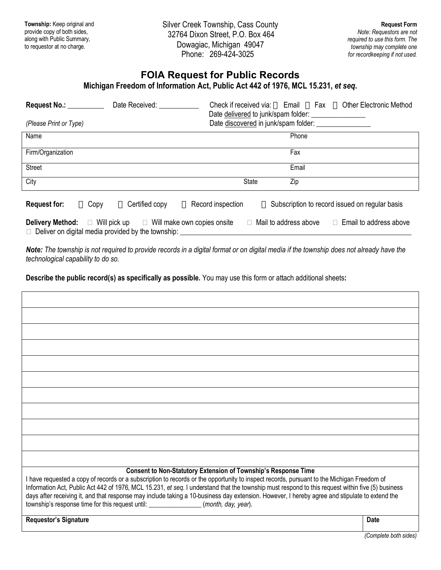Silver Creek Township, Cass County 32764 Dixon Street, P.O. Box 464 Dowagiac, Michigan 49047 Phone: 269-424-3025

# **FOIA Request for Public Records**

**Michigan Freedom of Information Act, Public Act 442 of 1976, MCL 15.231,** *et seq***.**

| <b>Request No.:</b><br>(Please Print or Type) |      | Date Received:                                                                                                                              | Check if received via: |              | Email<br>Date delivered to junk/spam folder:<br>Date discovered in junk/spam folder: ___________ | Fax | <b>Other Electronic Method</b>                 |
|-----------------------------------------------|------|---------------------------------------------------------------------------------------------------------------------------------------------|------------------------|--------------|--------------------------------------------------------------------------------------------------|-----|------------------------------------------------|
| Name                                          |      |                                                                                                                                             |                        |              | Phone                                                                                            |     |                                                |
| Firm/Organization                             |      |                                                                                                                                             |                        |              | Fax                                                                                              |     |                                                |
| <b>Street</b>                                 |      |                                                                                                                                             |                        |              | Email                                                                                            |     |                                                |
| City                                          |      |                                                                                                                                             |                        | <b>State</b> | Zip                                                                                              |     |                                                |
| <b>Request for:</b>                           | Copy | Certified copy                                                                                                                              | Record inspection      |              |                                                                                                  |     | Subscription to record issued on regular basis |
|                                               |      | <b>Delivery Method:</b> $\Box$ Will pick up $\Box$ Will make own copies onsite<br>$\Box$ Deliver on digital media provided by the township: |                        | П            | Mail to address above                                                                            |     | $\Box$ Email to address above                  |

*Note: The township is not required to provide records in a digital format or on digital media if the township does not already have the technological capability to do so.*

**Describe the public record(s) as specifically as possible.** You may use this form or attach additional sheets**:**

| <b>Consent to Non-Statutory Extension of Township's Response Time</b><br>I have requested a copy of records or a subscription to records or the opportunity to inspect records, pursuant to the Michigan Freedom of<br>Information Act, Public Act 442 of 1976, MCL 15.231, et seq. I understand that the township must respond to this request within five (5) business<br>days after receiving it, and that response may include taking a 10-business day extension. However, I hereby agree and stipulate to extend the<br>township's response time for this request until: ________________(month, day, year). |             |
|--------------------------------------------------------------------------------------------------------------------------------------------------------------------------------------------------------------------------------------------------------------------------------------------------------------------------------------------------------------------------------------------------------------------------------------------------------------------------------------------------------------------------------------------------------------------------------------------------------------------|-------------|
| <b>Requestor's Signature</b>                                                                                                                                                                                                                                                                                                                                                                                                                                                                                                                                                                                       | <b>Date</b> |